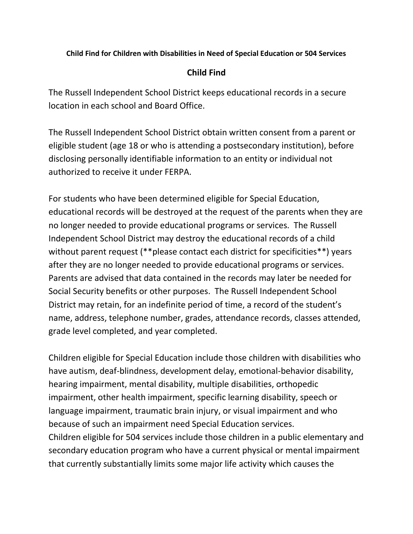## **Child Find for Children with Disabilities in Need of Special Education or 504 Services**

## **Child Find**

The Russell Independent School District keeps educational records in a secure location in each school and Board Office.

The Russell Independent School District obtain written consent from a parent or eligible student (age 18 or who is attending a postsecondary institution), before disclosing personally identifiable information to an entity or individual not authorized to receive it under FERPA.

For students who have been determined eligible for Special Education, educational records will be destroyed at the request of the parents when they are no longer needed to provide educational programs or services. The Russell Independent School District may destroy the educational records of a child without parent request (\*\*please contact each district for specificities\*\*) years after they are no longer needed to provide educational programs or services. Parents are advised that data contained in the records may later be needed for Social Security benefits or other purposes. The Russell Independent School District may retain, for an indefinite period of time, a record of the student's name, address, telephone number, grades, attendance records, classes attended, grade level completed, and year completed.

Children eligible for Special Education include those children with disabilities who have autism, deaf-blindness, development delay, emotional-behavior disability, hearing impairment, mental disability, multiple disabilities, orthopedic impairment, other health impairment, specific learning disability, speech or language impairment, traumatic brain injury, or visual impairment and who because of such an impairment need Special Education services. Children eligible for 504 services include those children in a public elementary and secondary education program who have a current physical or mental impairment that currently substantially limits some major life activity which causes the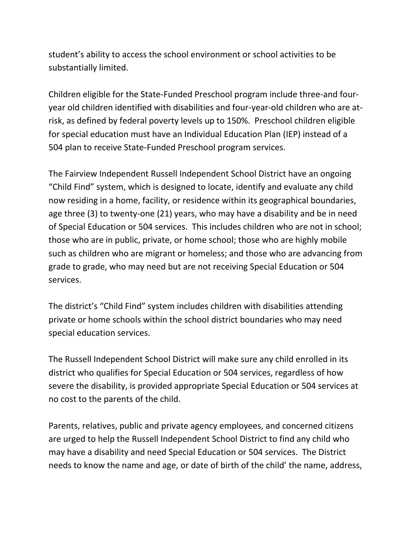student's ability to access the school environment or school activities to be substantially limited.

Children eligible for the State-Funded Preschool program include three-and fouryear old children identified with disabilities and four-year-old children who are atrisk, as defined by federal poverty levels up to 150%. Preschool children eligible for special education must have an Individual Education Plan (IEP) instead of a 504 plan to receive State-Funded Preschool program services.

The Fairview Independent Russell Independent School District have an ongoing "Child Find" system, which is designed to locate, identify and evaluate any child now residing in a home, facility, or residence within its geographical boundaries, age three (3) to twenty-one (21) years, who may have a disability and be in need of Special Education or 504 services. This includes children who are not in school; those who are in public, private, or home school; those who are highly mobile such as children who are migrant or homeless; and those who are advancing from grade to grade, who may need but are not receiving Special Education or 504 services.

The district's "Child Find" system includes children with disabilities attending private or home schools within the school district boundaries who may need special education services.

The Russell Independent School District will make sure any child enrolled in its district who qualifies for Special Education or 504 services, regardless of how severe the disability, is provided appropriate Special Education or 504 services at no cost to the parents of the child.

Parents, relatives, public and private agency employees, and concerned citizens are urged to help the Russell Independent School District to find any child who may have a disability and need Special Education or 504 services. The District needs to know the name and age, or date of birth of the child' the name, address,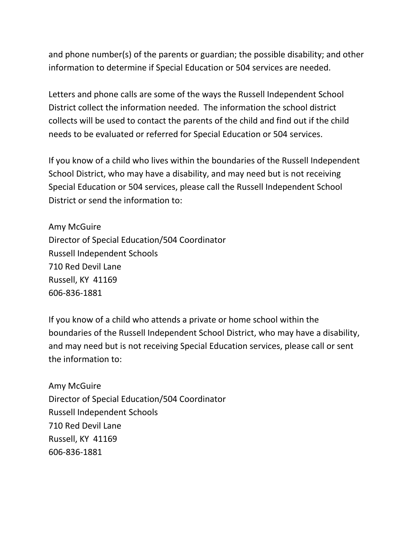and phone number(s) of the parents or guardian; the possible disability; and other information to determine if Special Education or 504 services are needed.

Letters and phone calls are some of the ways the Russell Independent School District collect the information needed. The information the school district collects will be used to contact the parents of the child and find out if the child needs to be evaluated or referred for Special Education or 504 services.

If you know of a child who lives within the boundaries of the Russell Independent School District, who may have a disability, and may need but is not receiving Special Education or 504 services, please call the Russell Independent School District or send the information to:

Amy McGuire Director of Special Education/504 Coordinator Russell Independent Schools 710 Red Devil Lane Russell, KY 41169 606-836-1881

If you know of a child who attends a private or home school within the boundaries of the Russell Independent School District, who may have a disability, and may need but is not receiving Special Education services, please call or sent the information to:

Amy McGuire Director of Special Education/504 Coordinator Russell Independent Schools 710 Red Devil Lane Russell, KY 41169 606-836-1881